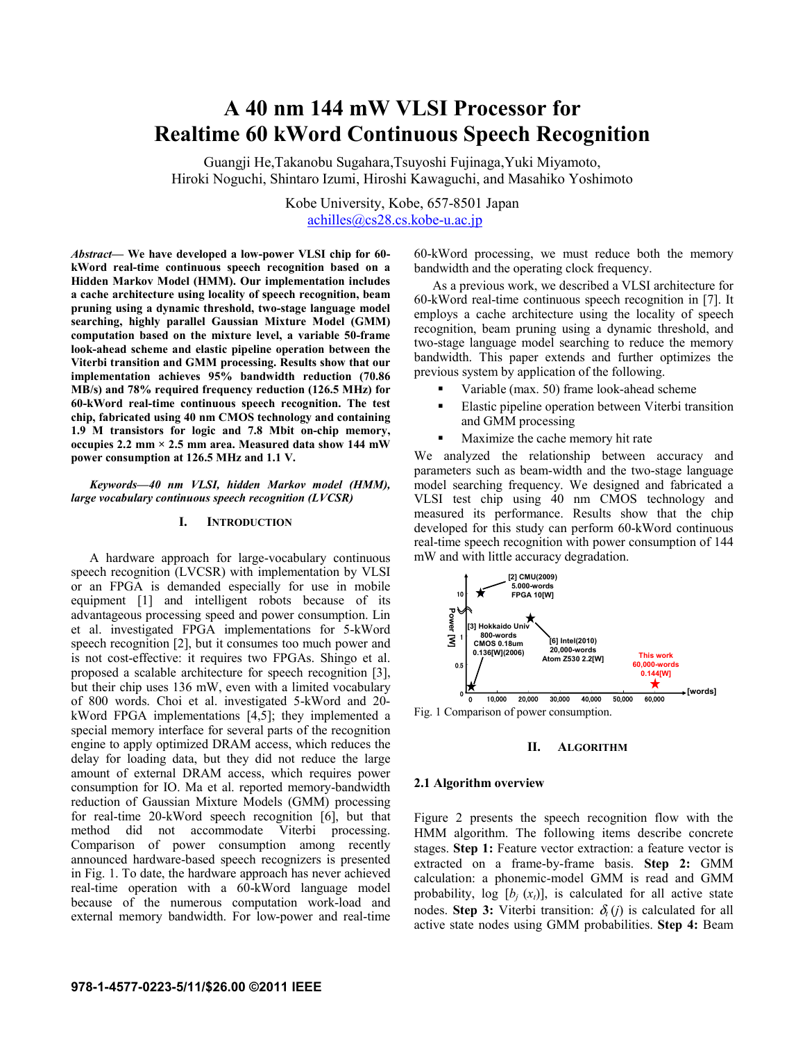# **A 40 nm 144 mW VLSI Processor for Realtime 60 kWord Continuous Speech Recognition**

Guangji He,Takanobu Sugahara,Tsuyoshi Fujinaga,Yuki Miyamoto, Hiroki Noguchi, Shintaro Izumi, Hiroshi Kawaguchi, and Masahiko Yoshimoto

> Kobe University, Kobe, 657-8501 Japan achilles@cs28.cs.kobe-u.ac.jp

*Abstract***— We have developed a low-power VLSI chip for 60 kWord real-time continuous speech recognition based on a Hidden Markov Model (HMM). Our implementation includes a cache architecture using locality of speech recognition, beam pruning using a dynamic threshold, two-stage language model searching, highly parallel Gaussian Mixture Model (GMM) computation based on the mixture level, a variable 50-frame look-ahead scheme and elastic pipeline operation between the Viterbi transition and GMM processing. Results show that our implementation achieves 95% bandwidth reduction (70.86 MB/s) and 78% required frequency reduction (126.5 MHz) for 60-kWord real-time continuous speech recognition. The test chip, fabricated using 40 nm CMOS technology and containing 1.9 M transistors for logic and 7.8 Mbit on-chip memory, occupies 2.2 mm × 2.5 mm area. Measured data show 144 mW power consumption at 126.5 MHz and 1.1 V.** 

#### *Keywords—40 nm VLSI, hidden Markov model (HMM), large vocabulary continuous speech recognition (LVCSR)*

#### **I. INTRODUCTION**

A hardware approach for large-vocabulary continuous speech recognition (LVCSR) with implementation by VLSI or an FPGA is demanded especially for use in mobile equipment [1] and intelligent robots because of its advantageous processing speed and power consumption. Lin et al. investigated FPGA implementations for 5-kWord speech recognition [2], but it consumes too much power and is not cost-effective: it requires two FPGAs. Shingo et al. proposed a scalable architecture for speech recognition [3], but their chip uses 136 mW, even with a limited vocabulary of 800 words. Choi et al. investigated 5-kWord and 20 kWord FPGA implementations [4,5]; they implemented a special memory interface for several parts of the recognition engine to apply optimized DRAM access, which reduces the delay for loading data, but they did not reduce the large amount of external DRAM access, which requires power consumption for IO. Ma et al. reported memory-bandwidth reduction of Gaussian Mixture Models (GMM) processing for real-time 20-kWord speech recognition [6], but that method did not accommodate Viterbi processing. Comparison of power consumption among recently announced hardware-based speech recognizers is presented in Fig. 1. To date, the hardware approach has never achieved real-time operation with a 60-kWord language model because of the numerous computation work-load and external memory bandwidth. For low-power and real-time

60-kWord processing, we must reduce both the memory bandwidth and the operating clock frequency.

As a previous work, we described a VLSI architecture for 60-kWord real-time continuous speech recognition in [7]. It employs a cache architecture using the locality of speech recognition, beam pruning using a dynamic threshold, and two-stage language model searching to reduce the memory bandwidth. This paper extends and further optimizes the previous system by application of the following.

- Variable (max. 50) frame look-ahead scheme
- Elastic pipeline operation between Viterbi transition and GMM processing
- Maximize the cache memory hit rate

We analyzed the relationship between accuracy and parameters such as beam-width and the two-stage language model searching frequency. We designed and fabricated a VLSI test chip using 40 nm CMOS technology and measured its performance. Results show that the chip developed for this study can perform 60-kWord continuous real-time speech recognition with power consumption of 144 mW and with little accuracy degradation.



# **II. ALGORITHM**

# **2.1 Algorithm overview**

Figure 2 presents the speech recognition flow with the HMM algorithm. The following items describe concrete stages. **Step 1:** Feature vector extraction: a feature vector is extracted on a frame-by-frame basis. **Step 2:** GMM calculation: a phonemic-model GMM is read and GMM probability,  $log [b_i(x_i)]$ , is calculated for all active state nodes. **Step 3:** Viterbi transition:  $\delta_i$  (*j*) is calculated for all active state nodes using GMM probabilities. **Step 4:** Beam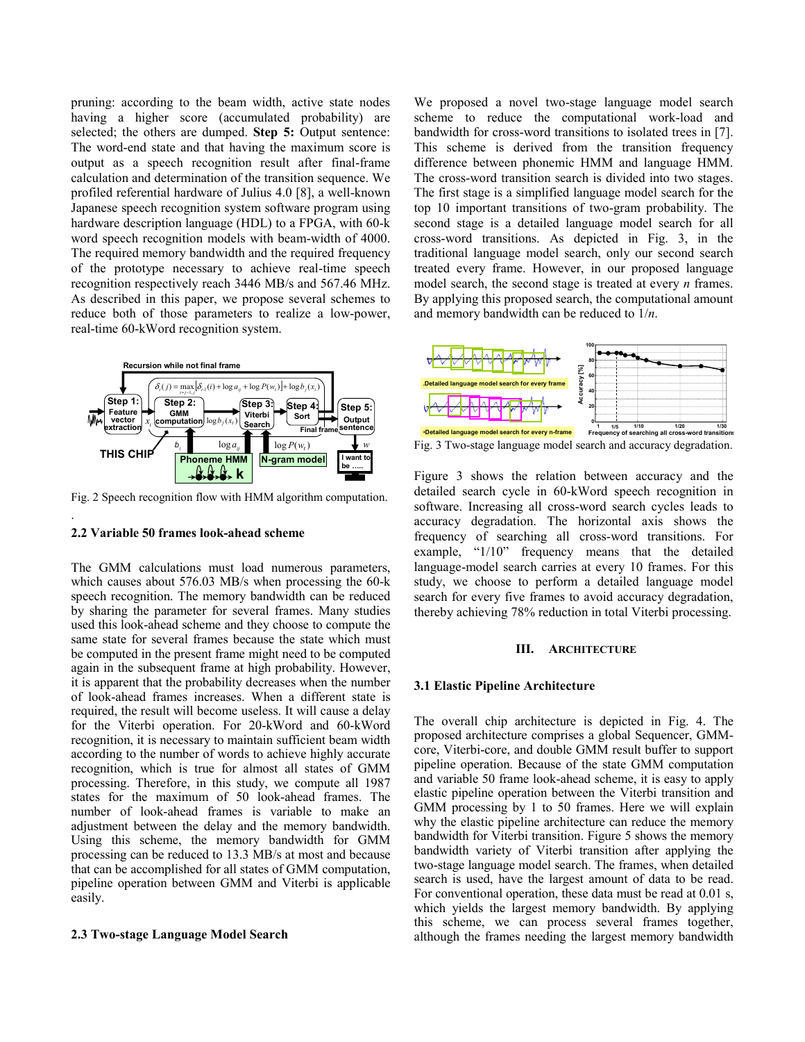pruning: according to the beam width, active state nodes having a higher score (accumulated probability) are selected; the others are dumped. **Step 5:** Output sentence: The word-end state and that having the maximum score is output as a speech recognition result after final-frame calculation and determination of the transition sequence. We profiled referential hardware of Julius 4.0 [8], a well-known Japanese speech recognition system software program using hardware description language (HDL) to a FPGA, with 60-k word speech recognition models with beam-width of 4000. The required memory bandwidth and the required frequency of the prototype necessary to achieve real-time speech recognition respectively reach 3446 MB/s and 567.46 MHz. As described in this paper, we propose several schemes to reduce both of those parameters to realize a low-power, real-time 60-kWord recognition system.



Fig. 2 Speech recognition flow with HMM algorithm computation.

#### **2.2 Variable 50 frames look-ahead scheme**

.

The GMM calculations must load numerous parameters, which causes about 576.03 MB/s when processing the 60-k speech recognition. The memory bandwidth can be reduced by sharing the parameter for several frames. Many studies used this look-ahead scheme and they choose to compute the same state for several frames because the state which must be computed in the present frame might need to be computed again in the subsequent frame at high probability. However, it is apparent that the probability decreases when the number of look-ahead frames increases. When a different state is required, the result will become useless. It will cause a delay for the Viterbi operation. For 20-kWord and 60-kWord recognition, it is necessary to maintain sufficient beam width according to the number of words to achieve highly accurate recognition, which is true for almost all states of GMM processing. Therefore, in this study, we compute all 1987 states for the maximum of 50 look-ahead frames. The number of look-ahead frames is variable to make an adjustment between the delay and the memory bandwidth. Using this scheme, the memory bandwidth for GMM processing can be reduced to 13.3 MB/s at most and because that can be accomplished for all states of GMM computation, pipeline operation between GMM and Viterbi is applicable easily.

# **2.3 Two-stage Language Model Search**

We proposed a novel two-stage language model search scheme to reduce the computational work-load and bandwidth for cross-word transitions to isolated trees in [7]. This scheme is derived from the transition frequency difference between phonemic HMM and language HMM. The cross-word transition search is divided into two stages. The first stage is a simplified language model search for the top 10 important transitions of two-gram probability. The second stage is a detailed language model search for all cross-word transitions. As depicted in Fig. 3, in the traditional language model search, only our second search treated every frame. However, in our proposed language model search, the second stage is treated at every *n* frames. By applying this proposed search, the computational amount and memory bandwidth can be reduced to 1/*n*.



Fig. 3 Two-stage language model search and accuracy degradation.

Figure 3 shows the relation between accuracy and the detailed search cycle in 60-kWord speech recognition in software. Increasing all cross-word search cycles leads to accuracy degradation. The horizontal axis shows the frequency of searching all cross-word transitions. For example, "1/10" frequency means that the detailed language-model search carries at every 10 frames. For this study, we choose to perform a detailed language model search for every five frames to avoid accuracy degradation, thereby achieving 78% reduction in total Viterbi processing.

#### **III. ARCHITECTURE**

#### **3.1 Elastic Pipeline Architecture**

The overall chip architecture is depicted in Fig. 4. The proposed architecture comprises a global Sequencer, GMMcore, Viterbi-core, and double GMM result buffer to support pipeline operation. Because of the state GMM computation and variable 50 frame look-ahead scheme, it is easy to apply elastic pipeline operation between the Viterbi transition and GMM processing by 1 to 50 frames. Here we will explain why the elastic pipeline architecture can reduce the memory bandwidth for Viterbi transition. Figure 5 shows the memory bandwidth variety of Viterbi transition after applying the two-stage language model search. The frames, when detailed search is used, have the largest amount of data to be read. For conventional operation, these data must be read at 0.01 s, which yields the largest memory bandwidth. By applying this scheme, we can process several frames together, although the frames needing the largest memory bandwidth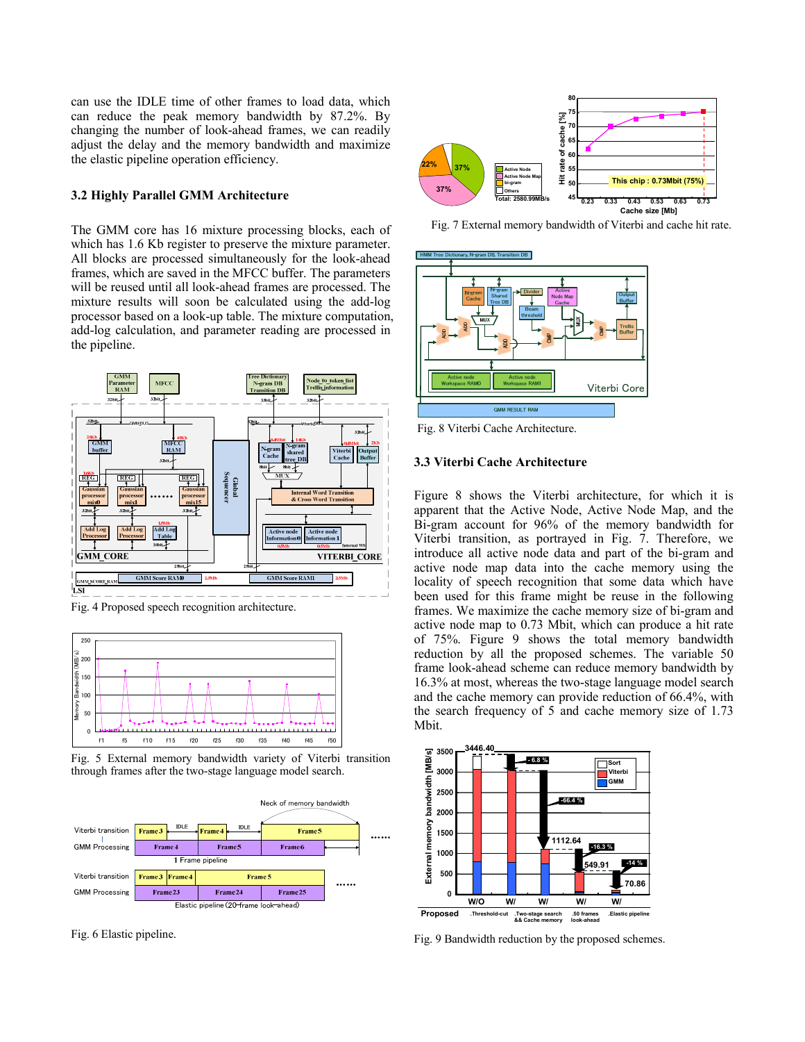can use the IDLE time of other frames to load data, which can reduce the peak memory bandwidth by 87.2%. By changing the number of look-ahead frames, we can readily adjust the delay and the memory bandwidth and maximize the elastic pipeline operation efficiency.

# **3.2 Highly Parallel GMM Architecture**

The GMM core has 16 mixture processing blocks, each of which has 1.6 Kb register to preserve the mixture parameter. All blocks are processed simultaneously for the look-ahead frames, which are saved in the MFCC buffer. The parameters will be reused until all look-ahead frames are processed. The mixture results will soon be calculated using the add-log processor based on a look-up table. The mixture computation, add-log calculation, and parameter reading are processed in the pipeline.



Fig. 4 Proposed speech recognition architecture.



Fig. 5 External memory bandwidth variety of Viterbi transition through frames after the two-stage language model search.



Fig. 6 Elastic pipeline.



Fig. 7 External memory bandwidth of Viterbi and cache hit rate.



Fig. 8 Viterbi Cache Architecture.

# **3.3 Viterbi Cache Architecture**

Figure 8 shows the Viterbi architecture, for which it is apparent that the Active Node, Active Node Map, and the Bi-gram account for 96% of the memory bandwidth for Viterbi transition, as portrayed in Fig. 7. Therefore, we introduce all active node data and part of the bi-gram and active node map data into the cache memory using the locality of speech recognition that some data which have been used for this frame might be reuse in the following frames. We maximize the cache memory size of bi-gram and active node map to 0.73 Mbit, which can produce a hit rate of 75%. Figure 9 shows the total memory bandwidth reduction by all the proposed schemes. The variable 50 frame look-ahead scheme can reduce memory bandwidth by 16.3% at most, whereas the two-stage language model search and the cache memory can provide reduction of 66.4%, with the search frequency of 5 and cache memory size of 1.73 Mbit.



Fig. 9 Bandwidth reduction by the proposed schemes.